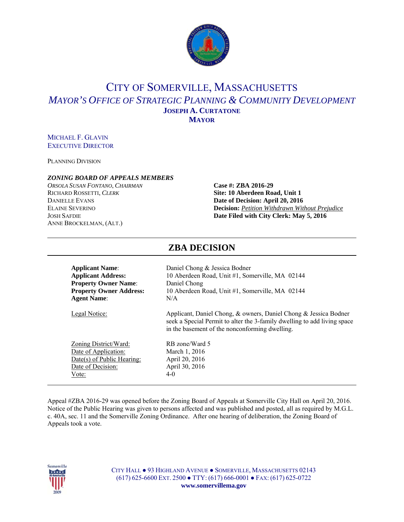

# CITY OF SOMERVILLE, MASSACHUSETTS *MAYOR'S OFFICE OF STRATEGIC PLANNING & COMMUNITY DEVELOPMENT* **JOSEPH A. CURTATONE MAYOR**

## MICHAEL F. GLAVIN EXECUTIVE DIRECTOR

PLANNING DIVISION

### *ZONING BOARD OF APPEALS MEMBERS*

*ORSOLA SUSAN FONTANO*, *CHAIRMAN* **Case #: ZBA 2016-29** RICHARD ROSSETTI, *CLERK* **Site: 10 Aberdeen Road, Unit 1** ANNE BROCKELMAN, (ALT.)

# **DANIELLE EVANS Date of Decision: April 20, 2016** ELAINE SEVERINO **Decision:** *Petition Withdrawn Without Prejudice* JOSH SAFDIE **Date Filed with City Clerk: May 5, 2016**

| <b>Applicant Name:</b>         | Daniel Chong & Jessica Bodner                                                                                                                                                                  |
|--------------------------------|------------------------------------------------------------------------------------------------------------------------------------------------------------------------------------------------|
| <b>Applicant Address:</b>      | 10 Aberdeen Road, Unit #1, Somerville, MA 02144                                                                                                                                                |
| <b>Property Owner Name:</b>    | Daniel Chong                                                                                                                                                                                   |
| <b>Property Owner Address:</b> | 10 Aberdeen Road, Unit #1, Somerville, MA 02144                                                                                                                                                |
| <b>Agent Name:</b>             | N/A                                                                                                                                                                                            |
| Legal Notice:                  | Applicant, Daniel Chong, & owners, Daniel Chong & Jessica Bodner<br>seek a Special Permit to alter the 3-family dwelling to add living space<br>in the basement of the nonconforming dwelling. |
| Zoning District/Ward:          | RB zone/Ward 5                                                                                                                                                                                 |
| Date of Application:           | March 1, 2016                                                                                                                                                                                  |
| Date(s) of Public Hearing:     | April 20, 2016                                                                                                                                                                                 |
| Date of Decision:              | April 30, 2016                                                                                                                                                                                 |
| Vote:                          | 4-0                                                                                                                                                                                            |

**ZBA DECISION** 

#### Appeal #ZBA 2016-29 was opened before the Zoning Board of Appeals at Somerville City Hall on April 20, 2016. Notice of the Public Hearing was given to persons affected and was published and posted, all as required by M.G.L. c. 40A, sec. 11 and the Somerville Zoning Ordinance. After one hearing of deliberation, the Zoning Board of Appeals took a vote.



CITY HALL ● 93 HIGHLAND AVENUE ● SOMERVILLE, MASSACHUSETTS 02143 (617) 625-6600 EXT. 2500 ● TTY: (617) 666-0001 ● FAX: (617) 625-0722 **www.somervillema.gov**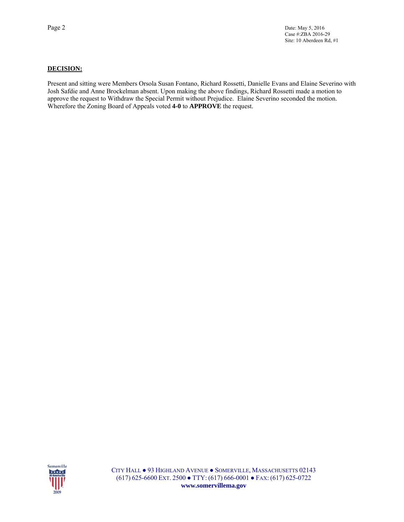### **DECISION:**

Present and sitting were Members Orsola Susan Fontano, Richard Rossetti, Danielle Evans and Elaine Severino with Josh Safdie and Anne Brockelman absent. Upon making the above findings, Richard Rossetti made a motion to approve the request to Withdraw the Special Permit without Prejudice. Elaine Severino seconded the motion. Wherefore the Zoning Board of Appeals voted **4-0** to **APPROVE** the request.